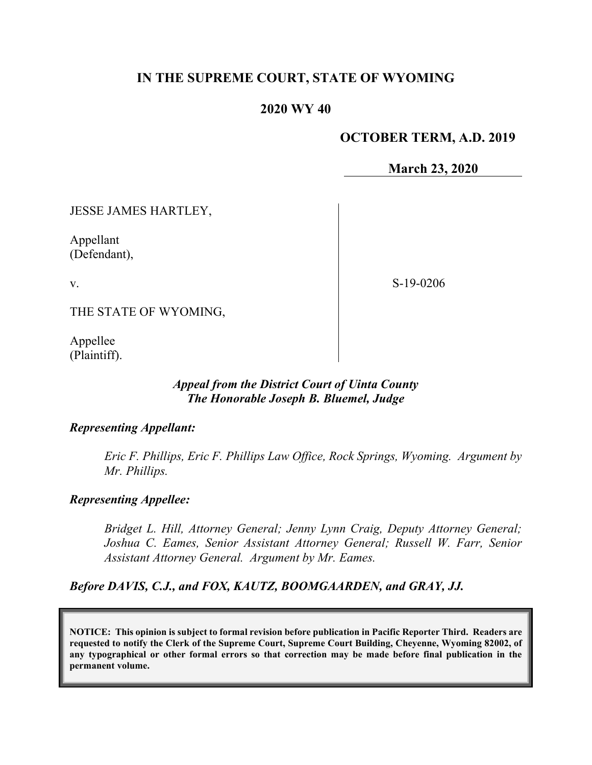# **IN THE SUPREME COURT, STATE OF WYOMING**

### **2020 WY 40**

### **OCTOBER TERM, A.D. 2019**

**March 23, 2020**

JESSE JAMES HARTLEY,

Appellant (Defendant),

v.

S-19-0206

THE STATE OF WYOMING,

Appellee (Plaintiff).

#### *Appeal from the District Court of Uinta County The Honorable Joseph B. Bluemel, Judge*

#### *Representing Appellant:*

*Eric F. Phillips, Eric F. Phillips Law Office, Rock Springs, Wyoming. Argument by Mr. Phillips.*

#### *Representing Appellee:*

*Bridget L. Hill, Attorney General; Jenny Lynn Craig, Deputy Attorney General; Joshua C. Eames, Senior Assistant Attorney General; Russell W. Farr, Senior Assistant Attorney General. Argument by Mr. Eames.*

*Before DAVIS, C.J., and FOX, KAUTZ, BOOMGAARDEN, and GRAY, JJ.*

**NOTICE: This opinion is subject to formal revision before publication in Pacific Reporter Third. Readers are requested to notify the Clerk of the Supreme Court, Supreme Court Building, Cheyenne, Wyoming 82002, of any typographical or other formal errors so that correction may be made before final publication in the permanent volume.**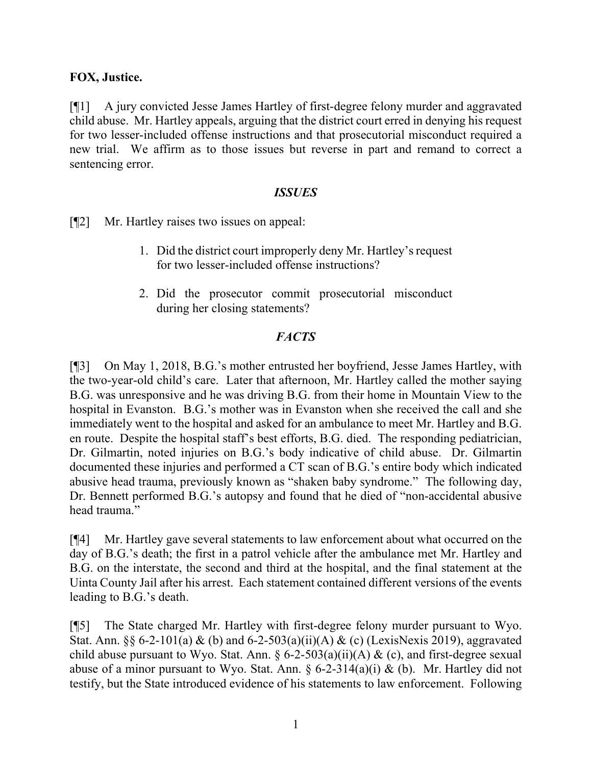### **FOX, Justice.**

[¶1] A jury convicted Jesse James Hartley of first-degree felony murder and aggravated child abuse. Mr. Hartley appeals, arguing that the district court erred in denying his request for two lesser-included offense instructions and that prosecutorial misconduct required a new trial. We affirm as to those issues but reverse in part and remand to correct a sentencing error.

### *ISSUES*

[¶2] Mr. Hartley raises two issues on appeal:

- 1. Did the district court improperly deny Mr. Hartley's request for two lesser-included offense instructions?
- 2. Did the prosecutor commit prosecutorial misconduct during her closing statements?

# *FACTS*

[¶3] On May 1, 2018, B.G.'s mother entrusted her boyfriend, Jesse James Hartley, with the two-year-old child's care. Later that afternoon, Mr. Hartley called the mother saying B.G. was unresponsive and he was driving B.G. from their home in Mountain View to the hospital in Evanston. B.G.'s mother was in Evanston when she received the call and she immediately went to the hospital and asked for an ambulance to meet Mr. Hartley and B.G. en route. Despite the hospital staff's best efforts, B.G. died. The responding pediatrician, Dr. Gilmartin, noted injuries on B.G.'s body indicative of child abuse. Dr. Gilmartin documented these injuries and performed a CT scan of B.G.'s entire body which indicated abusive head trauma, previously known as "shaken baby syndrome." The following day, Dr. Bennett performed B.G.'s autopsy and found that he died of "non-accidental abusive head trauma."

[¶4] Mr. Hartley gave several statements to law enforcement about what occurred on the day of B.G.'s death; the first in a patrol vehicle after the ambulance met Mr. Hartley and B.G. on the interstate, the second and third at the hospital, and the final statement at the Uinta County Jail after his arrest. Each statement contained different versions of the events leading to B.G.'s death.

[¶5] The State charged Mr. Hartley with first-degree felony murder pursuant to Wyo. Stat. Ann. §§ 6-2-101(a) & (b) and 6-2-503(a)(ii)(A) & (c) (LexisNexis 2019), aggravated child abuse pursuant to Wyo. Stat. Ann. §  $6-2-503(a)(ii)(A)$  & (c), and first-degree sexual abuse of a minor pursuant to Wyo. Stat. Ann.  $\S 6$ -2-314(a)(i) & (b). Mr. Hartley did not testify, but the State introduced evidence of his statements to law enforcement. Following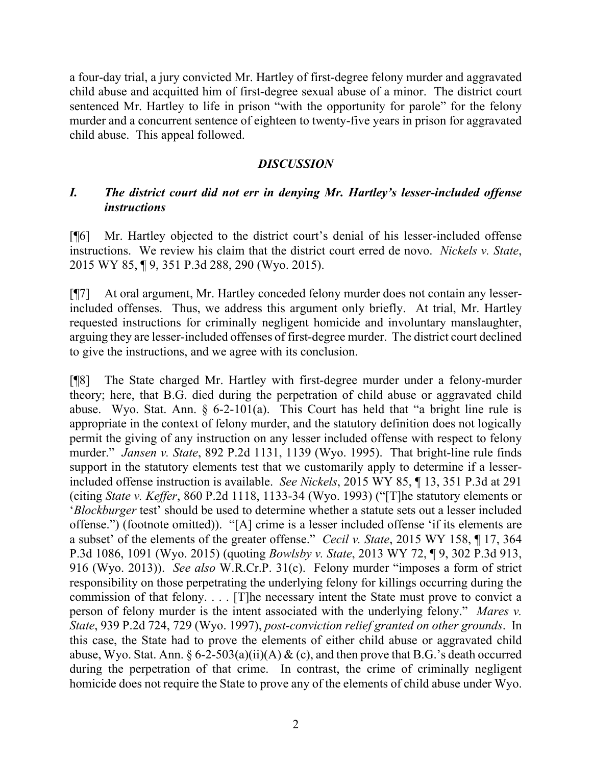a four-day trial, a jury convicted Mr. Hartley of first-degree felony murder and aggravated child abuse and acquitted him of first-degree sexual abuse of a minor. The district court sentenced Mr. Hartley to life in prison "with the opportunity for parole" for the felony murder and a concurrent sentence of eighteen to twenty-five years in prison for aggravated child abuse. This appeal followed.

# *DISCUSSION*

# *I. The district court did not err in denying Mr. Hartley's lesser-included offense instructions*

[¶6] Mr. Hartley objected to the district court's denial of his lesser-included offense instructions. We review his claim that the district court erred de novo. *Nickels v. State*, 2015 WY 85, ¶ 9, 351 P.3d 288, 290 (Wyo. 2015).

[¶7] At oral argument, Mr. Hartley conceded felony murder does not contain any lesserincluded offenses. Thus, we address this argument only briefly. At trial, Mr. Hartley requested instructions for criminally negligent homicide and involuntary manslaughter, arguing they are lesser-included offenses of first-degree murder. The district court declined to give the instructions, and we agree with its conclusion.

[¶8] The State charged Mr. Hartley with first-degree murder under a felony-murder theory; here, that B.G. died during the perpetration of child abuse or aggravated child abuse. Wyo. Stat. Ann. § 6-2-101(a). This Court has held that "a bright line rule is appropriate in the context of felony murder, and the statutory definition does not logically permit the giving of any instruction on any lesser included offense with respect to felony murder." *Jansen v. State*, 892 P.2d 1131, 1139 (Wyo. 1995). That bright-line rule finds support in the statutory elements test that we customarily apply to determine if a lesserincluded offense instruction is available. *See Nickels*, 2015 WY 85, ¶ 13, 351 P.3d at 291 (citing *State v. Keffer*, 860 P.2d 1118, 1133-34 (Wyo. 1993) ("[T]he statutory elements or '*Blockburger* test' should be used to determine whether a statute sets out a lesser included offense.") (footnote omitted)). "[A] crime is a lesser included offense 'if its elements are a subset' of the elements of the greater offense." *Cecil v. State*, 2015 WY 158, ¶ 17, 364 P.3d 1086, 1091 (Wyo. 2015) (quoting *Bowlsby v. State*, 2013 WY 72, ¶ 9, 302 P.3d 913, 916 (Wyo. 2013)). *See also* W.R.Cr.P. 31(c). Felony murder "imposes a form of strict responsibility on those perpetrating the underlying felony for killings occurring during the commission of that felony. . . . [T]he necessary intent the State must prove to convict a person of felony murder is the intent associated with the underlying felony." *Mares v. State*, 939 P.2d 724, 729 (Wyo. 1997), *post-conviction relief granted on other grounds*. In this case, the State had to prove the elements of either child abuse or aggravated child abuse, Wyo. Stat. Ann.  $\S 6$ -2-503(a)(ii)(A) & (c), and then prove that B.G.'s death occurred during the perpetration of that crime. In contrast, the crime of criminally negligent homicide does not require the State to prove any of the elements of child abuse under Wyo.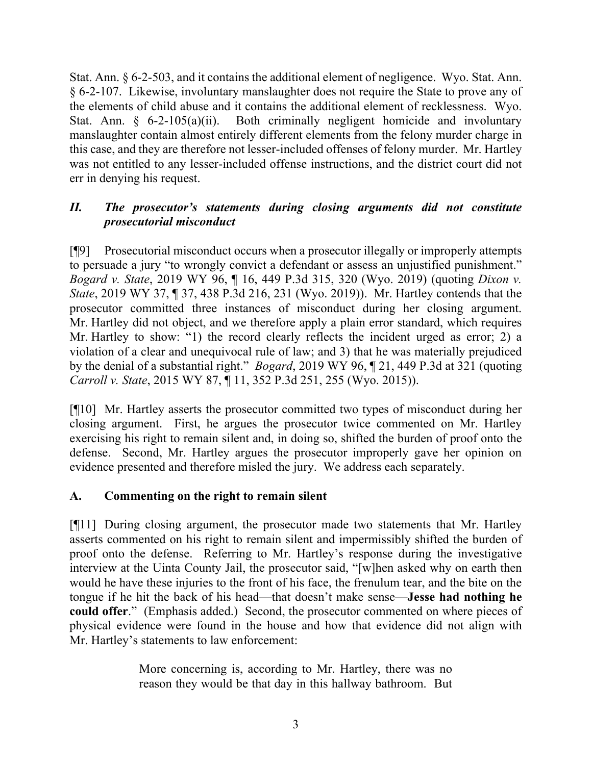Stat. Ann. § 6-2-503, and it contains the additional element of negligence. Wyo. Stat. Ann. § 6-2-107. Likewise, involuntary manslaughter does not require the State to prove any of the elements of child abuse and it contains the additional element of recklessness. Wyo. Stat. Ann. § 6-2-105(a)(ii). Both criminally negligent homicide and involuntary manslaughter contain almost entirely different elements from the felony murder charge in this case, and they are therefore not lesser-included offenses of felony murder. Mr. Hartley was not entitled to any lesser-included offense instructions, and the district court did not err in denying his request.

# *II. The prosecutor's statements during closing arguments did not constitute prosecutorial misconduct*

[¶9] Prosecutorial misconduct occurs when a prosecutor illegally or improperly attempts to persuade a jury "to wrongly convict a defendant or assess an unjustified punishment." *Bogard v. State*, 2019 WY 96, ¶ 16, 449 P.3d 315, 320 (Wyo. 2019) (quoting *Dixon v. State*, 2019 WY 37, ¶ 37, 438 P.3d 216, 231 (Wyo. 2019)). Mr. Hartley contends that the prosecutor committed three instances of misconduct during her closing argument. Mr. Hartley did not object, and we therefore apply a plain error standard, which requires Mr. Hartley to show: "1) the record clearly reflects the incident urged as error; 2) a violation of a clear and unequivocal rule of law; and 3) that he was materially prejudiced by the denial of a substantial right." *Bogard*, 2019 WY 96, ¶ 21, 449 P.3d at 321 (quoting *Carroll v. State*, 2015 WY 87, ¶ 11, 352 P.3d 251, 255 (Wyo. 2015)).

[¶10] Mr. Hartley asserts the prosecutor committed two types of misconduct during her closing argument. First, he argues the prosecutor twice commented on Mr. Hartley exercising his right to remain silent and, in doing so, shifted the burden of proof onto the defense. Second, Mr. Hartley argues the prosecutor improperly gave her opinion on evidence presented and therefore misled the jury. We address each separately.

# **A. Commenting on the right to remain silent**

[¶11] During closing argument, the prosecutor made two statements that Mr. Hartley asserts commented on his right to remain silent and impermissibly shifted the burden of proof onto the defense. Referring to Mr. Hartley's response during the investigative interview at the Uinta County Jail, the prosecutor said, "[w]hen asked why on earth then would he have these injuries to the front of his face, the frenulum tear, and the bite on the tongue if he hit the back of his head—that doesn't make sense—**Jesse had nothing he could offer**." (Emphasis added.) Second, the prosecutor commented on where pieces of physical evidence were found in the house and how that evidence did not align with Mr. Hartley's statements to law enforcement:

> More concerning is, according to Mr. Hartley, there was no reason they would be that day in this hallway bathroom. But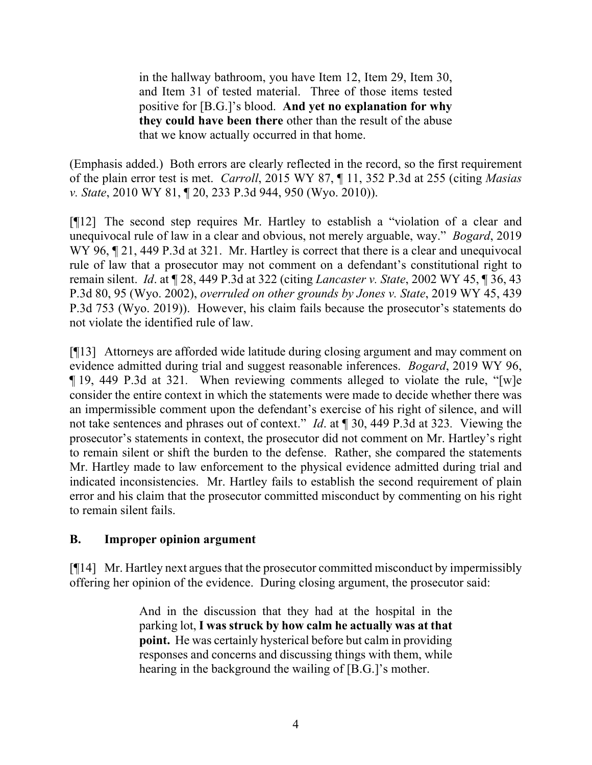in the hallway bathroom, you have Item 12, Item 29, Item 30, and Item 31 of tested material. Three of those items tested positive for [B.G.]'s blood. **And yet no explanation for why they could have been there** other than the result of the abuse that we know actually occurred in that home.

(Emphasis added.) Both errors are clearly reflected in the record, so the first requirement of the plain error test is met. *Carroll*, 2015 WY 87, ¶ 11, 352 P.3d at 255 (citing *Masias v. State*, 2010 WY 81, ¶ 20, 233 P.3d 944, 950 (Wyo. 2010)).

[¶12] The second step requires Mr. Hartley to establish a "violation of a clear and unequivocal rule of law in a clear and obvious, not merely arguable, way." *Bogard*, 2019 WY 96, 121, 449 P.3d at 321. Mr. Hartley is correct that there is a clear and unequivocal rule of law that a prosecutor may not comment on a defendant's constitutional right to remain silent. *Id*. at ¶ 28, 449 P.3d at 322 (citing *Lancaster v. State*, 2002 WY 45, ¶ 36, 43 P.3d 80, 95 (Wyo. 2002), *overruled on other grounds by Jones v. State*, 2019 WY 45, 439 P.3d 753 (Wyo. 2019)). However, his claim fails because the prosecutor's statements do not violate the identified rule of law.

[¶13] Attorneys are afforded wide latitude during closing argument and may comment on evidence admitted during trial and suggest reasonable inferences. *Bogard*, 2019 WY 96, ¶ 19, 449 P.3d at 321*.* When reviewing comments alleged to violate the rule, "[w]e consider the entire context in which the statements were made to decide whether there was an impermissible comment upon the defendant's exercise of his right of silence, and will not take sentences and phrases out of context." *Id*. at ¶ 30, 449 P.3d at 323*.* Viewing the prosecutor's statements in context, the prosecutor did not comment on Mr. Hartley's right to remain silent or shift the burden to the defense. Rather, she compared the statements Mr. Hartley made to law enforcement to the physical evidence admitted during trial and indicated inconsistencies. Mr. Hartley fails to establish the second requirement of plain error and his claim that the prosecutor committed misconduct by commenting on his right to remain silent fails.

# **B. Improper opinion argument**

[¶14] Mr. Hartley next argues that the prosecutor committed misconduct by impermissibly offering her opinion of the evidence. During closing argument, the prosecutor said:

> And in the discussion that they had at the hospital in the parking lot, **I was struck by how calm he actually was at that point.** He was certainly hysterical before but calm in providing responses and concerns and discussing things with them, while hearing in the background the wailing of [B.G.]'s mother.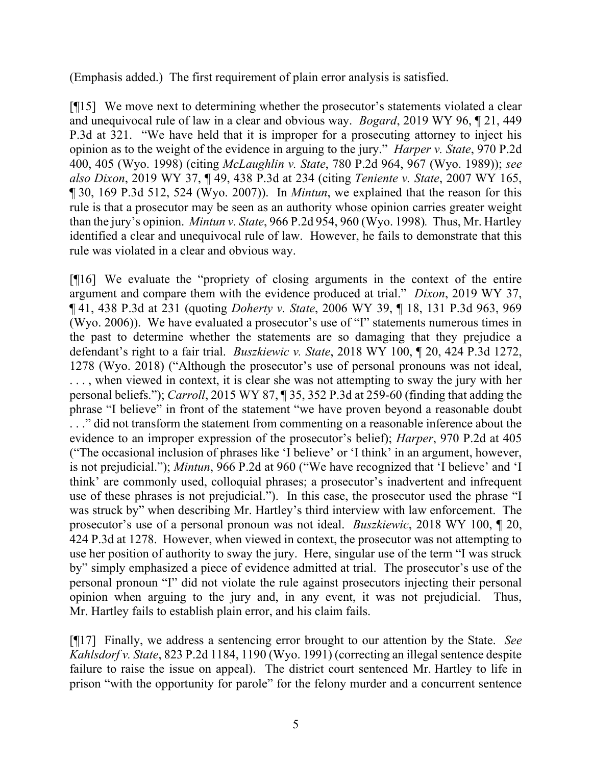(Emphasis added.) The first requirement of plain error analysis is satisfied.

[¶15] We move next to determining whether the prosecutor's statements violated a clear and unequivocal rule of law in a clear and obvious way. *Bogard*, 2019 WY 96, ¶ 21, 449 P.3d at 321. "We have held that it is improper for a prosecuting attorney to inject his opinion as to the weight of the evidence in arguing to the jury." *Harper v. State*, 970 P.2d 400, 405 (Wyo. 1998) (citing *McLaughlin v. State*, 780 P.2d 964, 967 (Wyo. 1989)); *see also Dixon*, 2019 WY 37, ¶ 49, 438 P.3d at 234 (citing *Teniente v. State*, 2007 WY 165, ¶ 30, 169 P.3d 512, 524 (Wyo. 2007)). In *Mintun*, we explained that the reason for this rule is that a prosecutor may be seen as an authority whose opinion carries greater weight than the jury's opinion. *Mintun v. State*, 966 P.2d 954, 960 (Wyo. 1998)*.* Thus, Mr. Hartley identified a clear and unequivocal rule of law. However, he fails to demonstrate that this rule was violated in a clear and obvious way.

[¶16] We evaluate the "propriety of closing arguments in the context of the entire argument and compare them with the evidence produced at trial." *Dixon*, 2019 WY 37, ¶ 41, 438 P.3d at 231 (quoting *Doherty v. State*, 2006 WY 39, ¶ 18, 131 P.3d 963, 969 (Wyo. 2006)). We have evaluated a prosecutor's use of "I" statements numerous times in the past to determine whether the statements are so damaging that they prejudice a defendant's right to a fair trial. *Buszkiewic v. State*, 2018 WY 100, ¶ 20, 424 P.3d 1272, 1278 (Wyo. 2018) ("Although the prosecutor's use of personal pronouns was not ideal, . . . , when viewed in context, it is clear she was not attempting to sway the jury with her personal beliefs."); *Carroll*, 2015 WY 87, ¶ 35, 352 P.3d at 259-60 (finding that adding the phrase "I believe" in front of the statement "we have proven beyond a reasonable doubt . . ." did not transform the statement from commenting on a reasonable inference about the evidence to an improper expression of the prosecutor's belief); *Harper*, 970 P.2d at 405 ("The occasional inclusion of phrases like 'I believe' or 'I think' in an argument, however, is not prejudicial."); *Mintun*, 966 P.2d at 960 ("We have recognized that 'I believe' and 'I think' are commonly used, colloquial phrases; a prosecutor's inadvertent and infrequent use of these phrases is not prejudicial."). In this case, the prosecutor used the phrase "I was struck by" when describing Mr. Hartley's third interview with law enforcement. The prosecutor's use of a personal pronoun was not ideal. *Buszkiewic*, 2018 WY 100, ¶ 20, 424 P.3d at 1278. However, when viewed in context, the prosecutor was not attempting to use her position of authority to sway the jury. Here, singular use of the term "I was struck by" simply emphasized a piece of evidence admitted at trial. The prosecutor's use of the personal pronoun "I" did not violate the rule against prosecutors injecting their personal opinion when arguing to the jury and, in any event, it was not prejudicial. Thus, Mr. Hartley fails to establish plain error, and his claim fails.

[¶17] Finally, we address a sentencing error brought to our attention by the State. *See Kahlsdorf v. State*, 823 P.2d 1184, 1190 (Wyo. 1991) (correcting an illegal sentence despite failure to raise the issue on appeal). The district court sentenced Mr. Hartley to life in prison "with the opportunity for parole" for the felony murder and a concurrent sentence